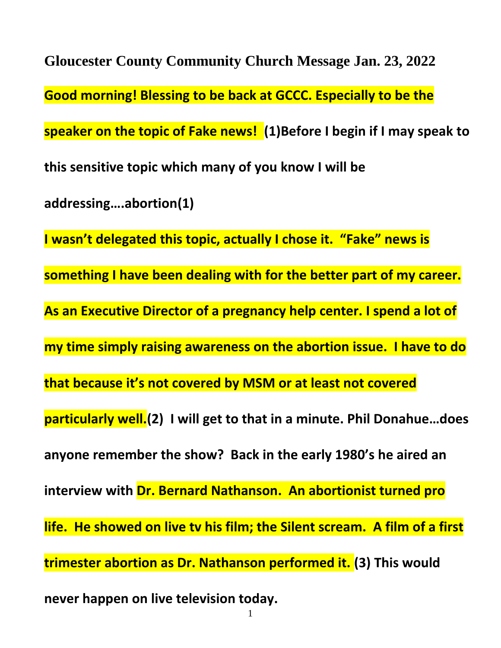**Gloucester County Community Church Message Jan. 23, 2022 Good morning! Blessing to be back at GCCC. Especially to be the speaker on the topic of Fake news! (1)Before I begin if I may speak to this sensitive topic which many of you know I will be addressing….abortion(1) I wasn't delegated this topic, actually I chose it. "Fake" news is something I have been dealing with for the better part of my career. As an Executive Director of a pregnancy help center. I spend a lot of my time simply raising awareness on the abortion issue. I have to do that because it's not covered by MSM or at least not covered particularly well.(2) I will get to that in a minute. Phil Donahue…does anyone remember the show? Back in the early 1980's he aired an interview with Dr. Bernard Nathanson. An abortionist turned pro life. He showed on live tv his film; the Silent scream. A film of a first trimester abortion as Dr. Nathanson performed it. (3) This would never happen on live television today.**

1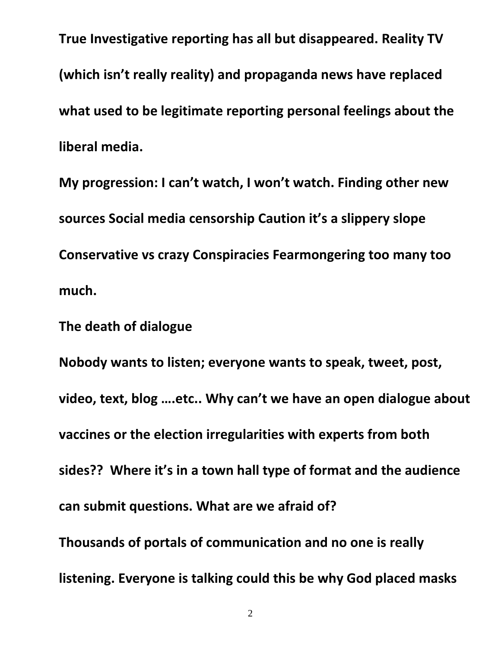**True Investigative reporting has all but disappeared. Reality TV (which isn't really reality) and propaganda news have replaced what used to be legitimate reporting personal feelings about the liberal media.** 

**My progression: I can't watch, I won't watch. Finding other new sources Social media censorship Caution it's a slippery slope Conservative vs crazy Conspiracies Fearmongering too many too much.**

**The death of dialogue**

**Nobody wants to listen; everyone wants to speak, tweet, post, video, text, blog ….etc.. Why can't we have an open dialogue about vaccines or the election irregularities with experts from both sides?? Where it's in a town hall type of format and the audience can submit questions. What are we afraid of? Thousands of portals of communication and no one is really listening. Everyone is talking could this be why God placed masks**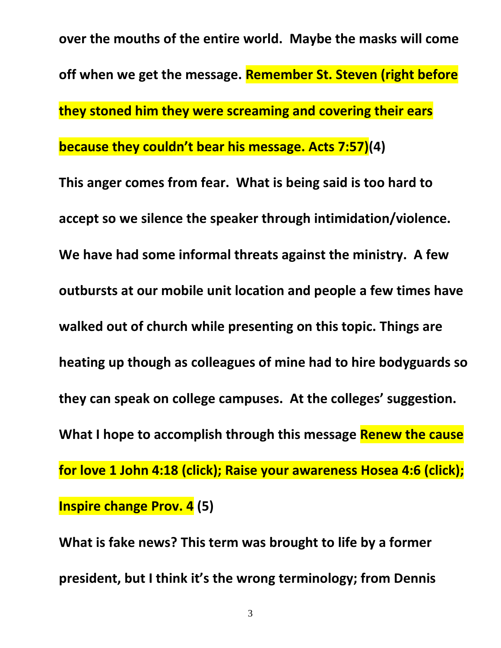**over the mouths of the entire world. Maybe the masks will come off when we get the message. Remember St. Steven (right before they stoned him they were screaming and covering their ears because they couldn't bear his message. Acts 7:57)(4)**

**This anger comes from fear. What is being said is too hard to accept so we silence the speaker through intimidation/violence. We have had some informal threats against the ministry. A few outbursts at our mobile unit location and people a few times have walked out of church while presenting on this topic. Things are heating up though as colleagues of mine had to hire bodyguards so they can speak on college campuses. At the colleges' suggestion. What I hope to accomplish through this message Renew the cause for love 1 John 4:18 (click); Raise your awareness Hosea 4:6 (click); Inspire change Prov. 4 (5)**

**What is fake news? This term was brought to life by a former president, but I think it's the wrong terminology; from Dennis**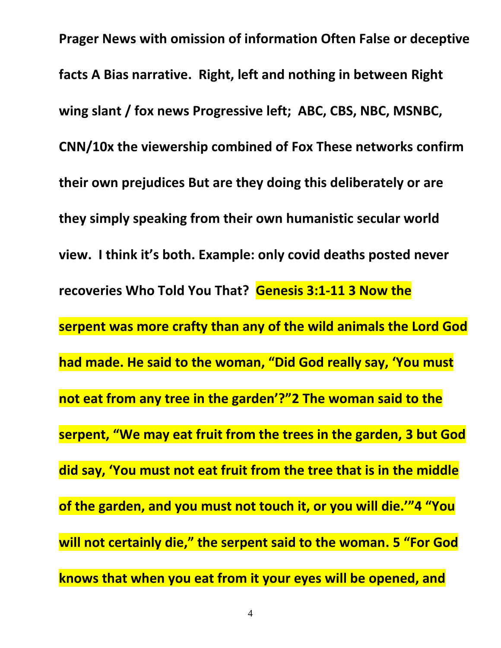**Prager News with omission of information Often False or deceptive facts A Bias narrative. Right, left and nothing in between Right wing slant / fox news Progressive left; ABC, CBS, NBC, MSNBC, CNN/10x the viewership combined of Fox These networks confirm their own prejudices But are they doing this deliberately or are they simply speaking from their own humanistic secular world view. I think it's both. Example: only covid deaths posted never recoveries Who Told You That? Genesis 3:1-11 3 Now the serpent was more crafty than any of the wild animals the Lord God had made. He said to the woman, "Did God really say, 'You must not eat from any tree in the garden'?"2 The woman said to the serpent, "We may eat fruit from the trees in the garden, 3 but God did say, 'You must not eat fruit from the tree that is in the middle of the garden, and you must not touch it, or you will die.'"4 "You will not certainly die," the serpent said to the woman. 5 "For God knows that when you eat from it your eyes will be opened, and**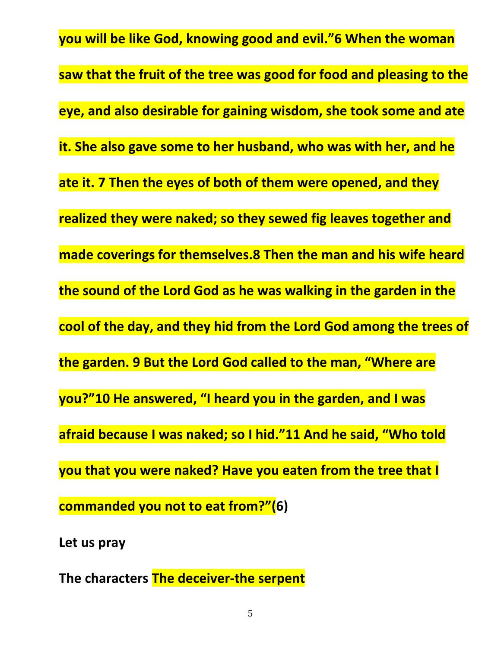**you will be like God, knowing good and evil."6 When the woman saw that the fruit of the tree was good for food and pleasing to the eye, and also desirable for gaining wisdom, she took some and ate it. She also gave some to her husband, who was with her, and he ate it. 7 Then the eyes of both of them were opened, and they realized they were naked; so they sewed fig leaves together and made coverings for themselves.8 Then the man and his wife heard the sound of the Lord God as he was walking in the garden in the cool of the day, and they hid from the Lord God among the trees of the garden. 9 But the Lord God called to the man, "Where are you?"10 He answered, "I heard you in the garden, and I was afraid because I was naked; so I hid."11 And he said, "Who told you that you were naked? Have you eaten from the tree that I commanded you not to eat from?"(6)**

**Let us pray**

**The characters The deceiver-the serpent**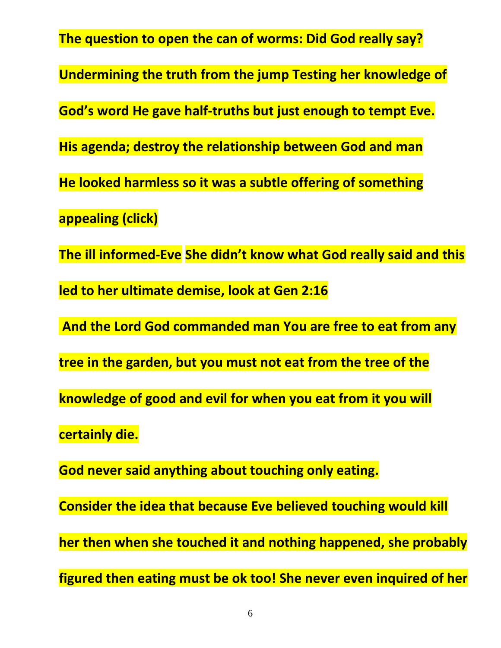**The question to open the can of worms: Did God really say? Undermining the truth from the jump Testing her knowledge of God's word He gave half-truths but just enough to tempt Eve. His agenda; destroy the relationship between God and man He looked harmless so it was a subtle offering of something appealing (click) The ill informed-Eve She didn't know what God really said and this led to her ultimate demise, look at Gen 2:16 And the Lord God commanded man You are free to eat from any tree in the garden, but you must not eat from the tree of the knowledge of good and evil for when you eat from it you will certainly die. God never said anything about touching only eating. Consider the idea that because Eve believed touching would kill her then when she touched it and nothing happened, she probably figured then eating must be ok too! She never even inquired of her**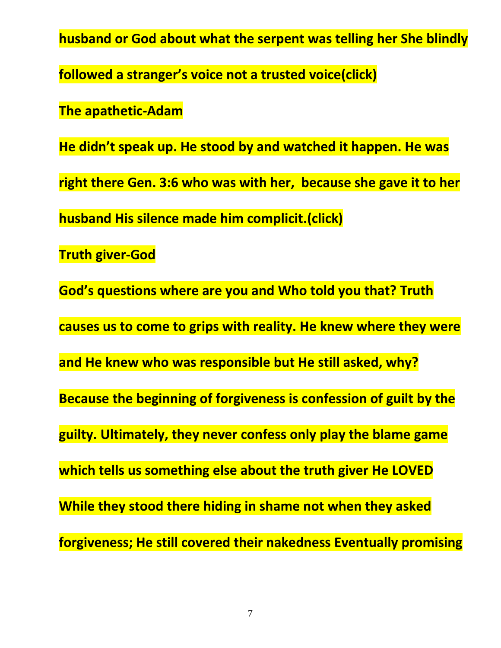**husband or God about what the serpent was telling her She blindly** 

**followed a stranger's voice not a trusted voice(click)**

**The apathetic-Adam**

**He didn't speak up. He stood by and watched it happen. He was** 

**right there Gen. 3:6 who was with her, because she gave it to her** 

**husband His silence made him complicit.(click)**

**Truth giver-God**

**God's questions where are you and Who told you that? Truth** 

**causes us to come to grips with reality. He knew where they were** 

**and He knew who was responsible but He still asked, why?**

**Because the beginning of forgiveness is confession of guilt by the** 

**guilty. Ultimately, they never confess only play the blame game** 

**which tells us something else about the truth giver He LOVED**

**While they stood there hiding in shame not when they asked** 

**forgiveness; He still covered their nakedness Eventually promising**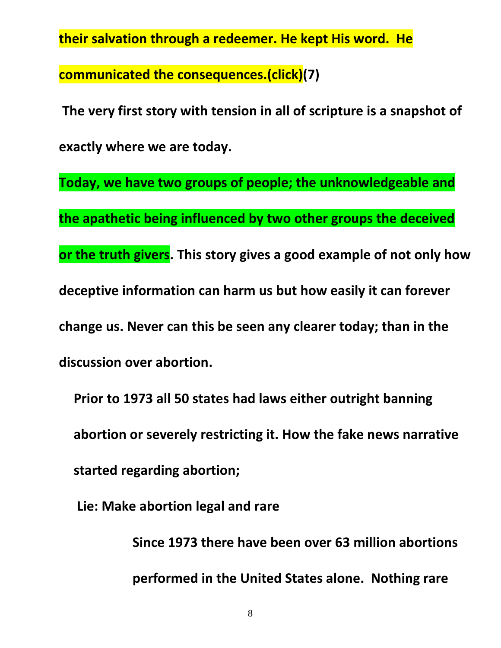**their salvation through a redeemer. He kept His word. He** 

**communicated the consequences.(click)(7)**

**The very first story with tension in all of scripture is a snapshot of exactly where we are today.**

**Today, we have two groups of people; the unknowledgeable and the apathetic being influenced by two other groups the deceived or the truth givers. This story gives a good example of not only how deceptive information can harm us but how easily it can forever change us. Never can this be seen any clearer today; than in the discussion over abortion.**

**Prior to 1973 all 50 states had laws either outright banning abortion or severely restricting it. How the fake news narrative started regarding abortion;**

**Lie: Make abortion legal and rare**

**Since 1973 there have been over 63 million abortions performed in the United States alone. Nothing rare** 

8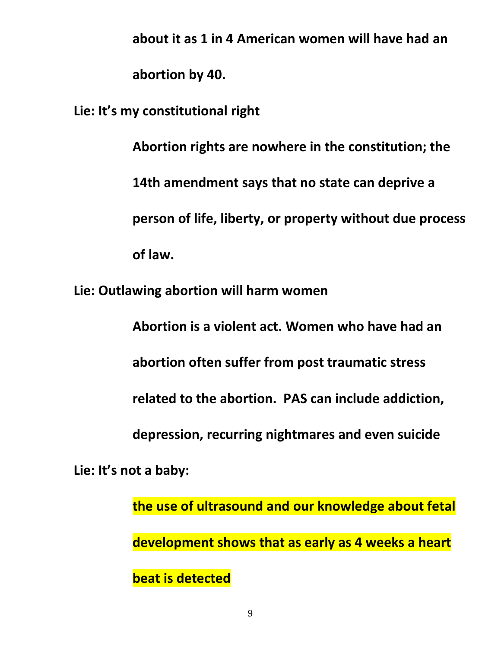**about it as 1 in 4 American women will have had an abortion by 40.**

**Lie: It's my constitutional right**

**Abortion rights are nowhere in the constitution; the 14th amendment says that no state can deprive a person of life, liberty, or property without due process of law.**

**Lie: Outlawing abortion will harm women**

**Abortion is a violent act. Women who have had an abortion often suffer from post traumatic stress related to the abortion. PAS can include addiction, depression, recurring nightmares and even suicide Lie: It's not a baby:** 

> **the use of ultrasound and our knowledge about fetal development shows that as early as 4 weeks a heart beat is detected**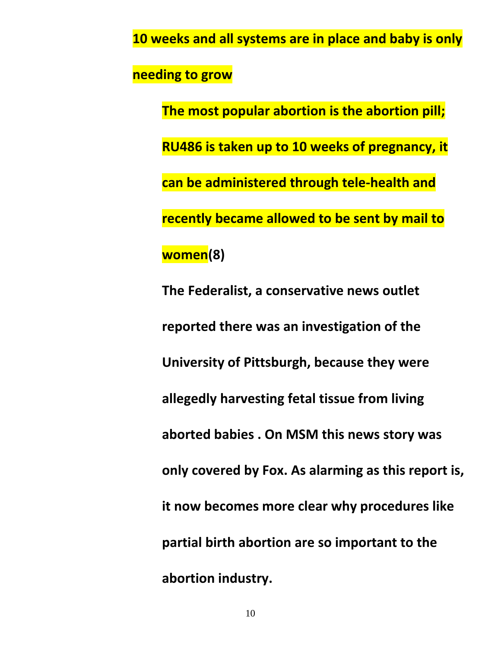**10 weeks and all systems are in place and baby is only** 

**needing to grow**

**The most popular abortion is the abortion pill; RU486 is taken up to 10 weeks of pregnancy, it can be administered through tele-health and recently became allowed to be sent by mail to women(8)**

**The Federalist, a conservative news outlet reported there was an investigation of the University of Pittsburgh, because they were allegedly harvesting fetal tissue from living aborted babies . On MSM this news story was only covered by Fox. As alarming as this report is, it now becomes more clear why procedures like partial birth abortion are so important to the abortion industry.**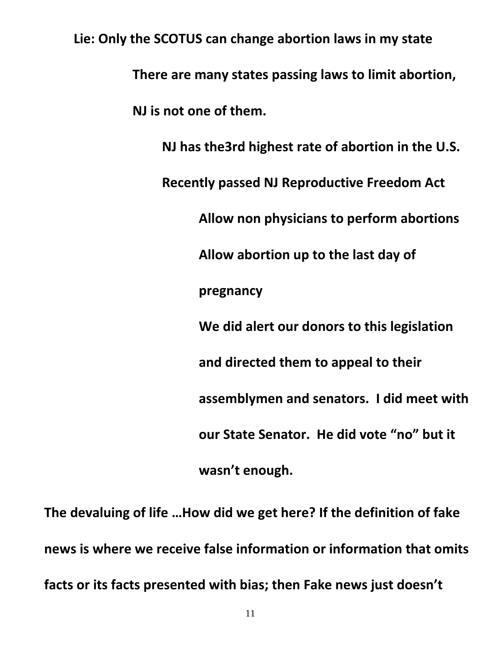**Lie: Only the SCOTUS can change abortion laws in my state There are many states passing laws to limit abortion, NJ is not one of them. NJ has the3rd highest rate of abortion in the U.S. Recently passed NJ Reproductive Freedom Act Allow non physicians to perform abortions Allow abortion up to the last day of pregnancy We did alert our donors to this legislation and directed them to appeal to their assemblymen and senators. I did meet with our State Senator. He did vote "no" but it wasn't enough.** 

**The devaluing of life …How did we get here? If the definition of fake news is where we receive false information or information that omits facts or its facts presented with bias; then Fake news just doesn't**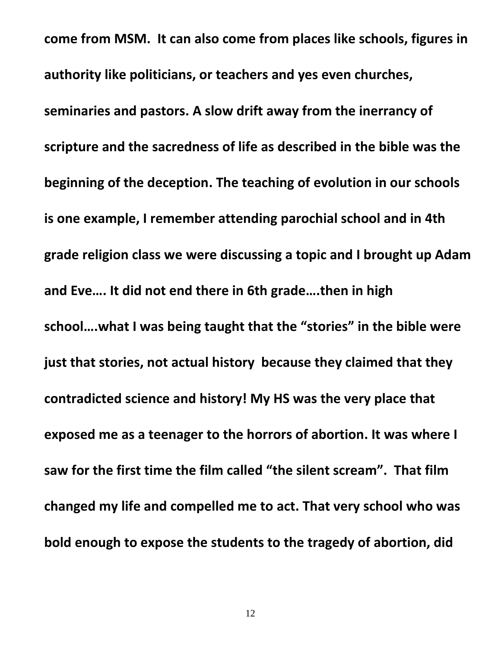**come from MSM. It can also come from places like schools, figures in authority like politicians, or teachers and yes even churches, seminaries and pastors. A slow drift away from the inerrancy of scripture and the sacredness of life as described in the bible was the beginning of the deception. The teaching of evolution in our schools is one example, I remember attending parochial school and in 4th grade religion class we were discussing a topic and I brought up Adam and Eve…. It did not end there in 6th grade….then in high school….what I was being taught that the "stories" in the bible were just that stories, not actual history because they claimed that they contradicted science and history! My HS was the very place that exposed me as a teenager to the horrors of abortion. It was where I saw for the first time the film called "the silent scream". That film changed my life and compelled me to act. That very school who was bold enough to expose the students to the tragedy of abortion, did**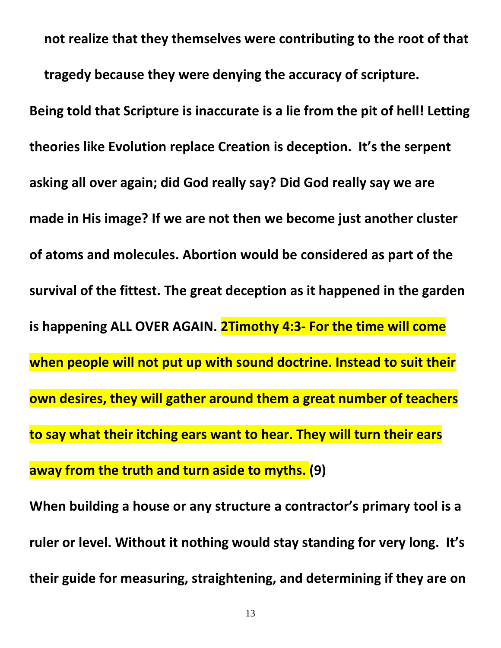**not realize that they themselves were contributing to the root of that tragedy because they were denying the accuracy of scripture. Being told that Scripture is inaccurate is a lie from the pit of hell! Letting theories like Evolution replace Creation is deception. It's the serpent asking all over again; did God really say? Did God really say we are made in His image? If we are not then we become just another cluster of atoms and molecules. Abortion would be considered as part of the survival of the fittest. The great deception as it happened in the garden is happening ALL OVER AGAIN. 2Timothy 4:3- For the time will come when people will not put up with sound doctrine. Instead to suit their own desires, they will gather around them a great number of teachers to say what their itching ears want to hear. They will turn their ears away from the truth and turn aside to myths. (9)**

**When building a house or any structure a contractor's primary tool is a ruler or level. Without it nothing would stay standing for very long. It's their guide for measuring, straightening, and determining if they are on**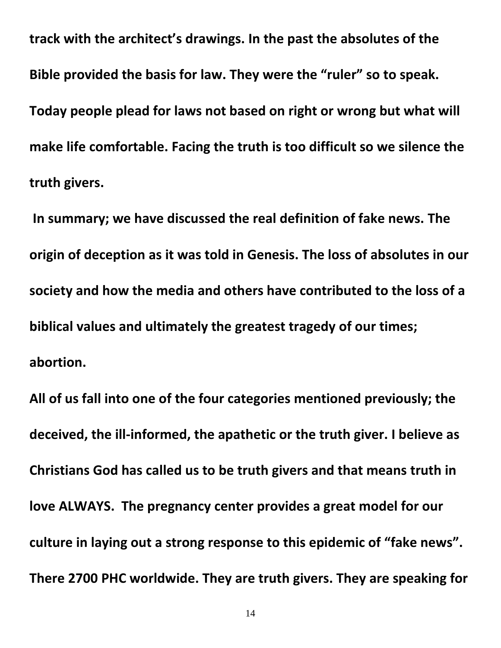**track with the architect's drawings. In the past the absolutes of the Bible provided the basis for law. They were the "ruler" so to speak. Today people plead for laws not based on right or wrong but what will make life comfortable. Facing the truth is too difficult so we silence the truth givers.**

**In summary; we have discussed the real definition of fake news. The origin of deception as it was told in Genesis. The loss of absolutes in our society and how the media and others have contributed to the loss of a biblical values and ultimately the greatest tragedy of our times; abortion.**

**All of us fall into one of the four categories mentioned previously; the deceived, the ill-informed, the apathetic or the truth giver. I believe as Christians God has called us to be truth givers and that means truth in love ALWAYS. The pregnancy center provides a great model for our culture in laying out a strong response to this epidemic of "fake news". There 2700 PHC worldwide. They are truth givers. They are speaking for**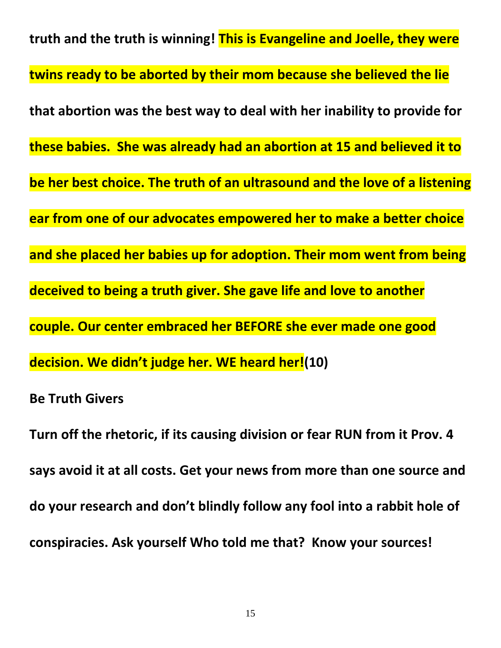**truth and the truth is winning! This is Evangeline and Joelle, they were twins ready to be aborted by their mom because she believed the lie that abortion was the best way to deal with her inability to provide for these babies. She was already had an abortion at 15 and believed it to be her best choice. The truth of an ultrasound and the love of a listening ear from one of our advocates empowered her to make a better choice and she placed her babies up for adoption. Their mom went from being deceived to being a truth giver. She gave life and love to another couple. Our center embraced her BEFORE she ever made one good decision. We didn't judge her. WE heard her!(10)**

**Be Truth Givers**

**Turn off the rhetoric, if its causing division or fear RUN from it Prov. 4 says avoid it at all costs. Get your news from more than one source and do your research and don't blindly follow any fool into a rabbit hole of conspiracies. Ask yourself Who told me that? Know your sources!**